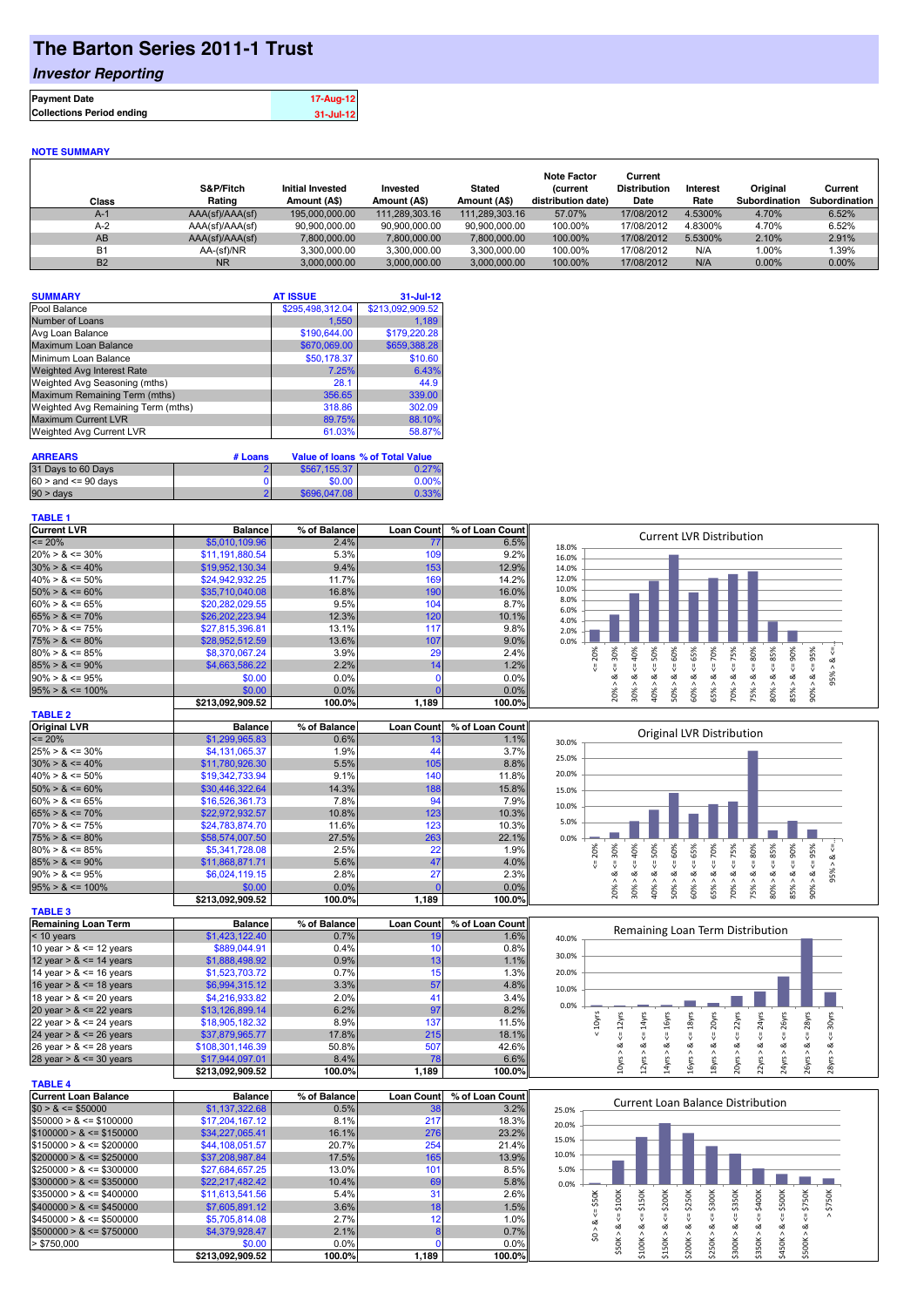## **The Barton Series 2011-1 Trust**

### *Investor Reporting*

| <b>Payment Date</b>              | 17-Aug-12 |
|----------------------------------|-----------|
| <b>Collections Period ending</b> | 31-Jul-12 |
|                                  |           |

#### **NOTE SUMMARY**

| Class          | S&P/Fitch<br>Rating | <b>Initial Invested</b><br>Amount (A\$) | Invested<br>Amount (A\$) | <b>Stated</b><br>Amount (A\$) | <b>Note Factor</b><br><b>Current</b><br>distribution date) | Current<br><b>Distribution</b><br>Date | Interest<br>Rate | Original<br>Subordination | Current<br>Subordination |
|----------------|---------------------|-----------------------------------------|--------------------------|-------------------------------|------------------------------------------------------------|----------------------------------------|------------------|---------------------------|--------------------------|
| $A-1$          | AAA(sf)/AAA(sf)     | 195.000.000.00                          | 111.289.303.16           | 111,289,303.16                | 57.07%                                                     | 17/08/2012                             | 4.5300%          | 4.70%                     | 6.52%                    |
| $A-2$          | AAA(sf)/AAA(sf)     | 90.900.000.00                           | 90.900.000.00            | 90.900.000.00                 | 100.00%                                                    | 17/08/2012                             | 4.8300%          | 4.70%                     | 6.52%                    |
| AB             | AAA(sf)/AAA(sf)     | 7.800.000.00                            | 7.800.000.00             | 7.800.000.00                  | 100.00%                                                    | 17/08/2012                             | 5.5300%          | 2.10%                     | 2.91%                    |
| <b>B1</b>      | AA-(sf)/NR          | 3.300.000.00                            | 3.300.000.00             | 3.300.000.00                  | 100.00%                                                    | 17/08/2012                             | N/A              | 1.00%                     | 1.39%                    |
| B <sub>2</sub> | <b>NR</b>           | 3.000.000.00                            | 3.000.000.00             | 3.000.000.00                  | 100.00%                                                    | 17/08/2012                             | N/A              | 0.00%                     | $0.00\%$                 |

| <b>SUMMARY</b>                     | <b>AT ISSUE</b>  | $31 -$ Jul-12    |
|------------------------------------|------------------|------------------|
| Pool Balance                       | \$295,498,312.04 | \$213,092,909.52 |
| Number of Loans                    | 1,550            | 1.189            |
| Avg Loan Balance                   | \$190,644.00     | \$179,220.28     |
| Maximum Loan Balance               | \$670,069.00     | \$659,388.28     |
| Minimum Loan Balance               | \$50,178.37      | \$10.60          |
| <b>Weighted Avg Interest Rate</b>  | 7.25%            | 6.43%            |
| Weighted Avg Seasoning (mths)      | 28.1             | 44.9             |
| Maximum Remaining Term (mths)      | 356.65           | 339.00           |
| Weighted Avg Remaining Term (mths) | 318.86           | 302.09           |
| <b>Maximum Current LVR</b>         | 89.75%           | 88.10%           |
| Weighted Avg Current LVR           | 61.03%           | 58.87%           |

| <b>ARREARS</b>            | # Loans |              | Value of Ioans % of Total Value |
|---------------------------|---------|--------------|---------------------------------|
| 31 Days to 60 Days        |         | \$567,155,37 | 0.27%                           |
| $60 >$ and $\leq 90$ days |         | \$0.00       | 0.00%                           |
| $90 > \text{days}$        |         | \$696,047,08 | 0.33%                           |

#### **TABLE 1**

| <b>Current LVR</b>   | <b>Balance</b>   | % of Balance | <b>Loan Countl</b> | % of Loan Count |              | <b>Current LVR Distribution</b> |     |     |                          |         |                |     |                |   |
|----------------------|------------------|--------------|--------------------|-----------------|--------------|---------------------------------|-----|-----|--------------------------|---------|----------------|-----|----------------|---|
| $\leq$ 20%           | \$5,010,109.96   | 2.4%         | 77                 | 6.5%            | 18.0%        |                                 |     |     |                          |         |                |     |                |   |
| $20\% > 8 \le 30\%$  | \$11,191,880.54  | 5.3%         | 109                | 9.2%            | 16.0%        |                                 |     |     |                          |         |                |     |                |   |
| $30\% > 8 \le 40\%$  | \$19,952,130.34  | 9.4%         | 153                | 12.9%           | 14.0%        |                                 |     |     |                          |         |                |     |                |   |
| $40\% > 8 \le 50\%$  | \$24,942,932.25  | 11.7%        | 169                | 14.2%           | 12.0%        |                                 |     |     |                          |         |                |     |                |   |
| $50\% > 8 \le 60\%$  | \$35,710,040.08  | 16.8%        | 190                | 16.0%           | 10.0%        |                                 |     |     |                          |         |                |     |                |   |
| $60\% > 8 \le 65\%$  | \$20,282,029.55  | 9.5%         | 104                | 8.7%            | 8.0%<br>6.0% |                                 |     |     |                          |         |                |     |                |   |
| $65\% > 8 \le 70\%$  | \$26,202,223,94  | 12.3%        | 120                | 10.1%           | 4.0%         |                                 |     |     |                          |         |                |     |                |   |
| $70\% > 8 \le 75\%$  | \$27.815.396.81  | 13.1%        | 117                | 9.8%            | 2.0%         |                                 |     |     |                          |         |                |     |                |   |
| $75\% > 8 \le 80\%$  | \$28,952,512.59  | 13.6%        | 107                | 9.0%            | 0.0%         |                                 |     |     |                          |         |                |     |                |   |
| $80\% > 8 \le 85\%$  | \$8,370,067.24   | 3.9%         | 29                 | 2.4%            | $^{86}$      | 2                               | 60% | 65% | 70%                      | င္တ     | æ              | င္က | Ж              |   |
| $85\% > 8 \le 90\%$  | \$4,663,586.22   | 2.2%         | 14 <sub>1</sub>    | 1.2%            |              |                                 |     |     |                          |         |                |     |                |   |
| $90\% > 8 \le 95\%$  | \$0.00           | $0.0\%$      |                    | 0.0%            |              |                                 |     |     |                          |         |                |     | ∝              | ക |
| $95\% > 8 \le 100\%$ | \$0.00           | $0.0\%$      |                    | 0.0%            | š            | ఠ<br>30%                        | 50% | ò,  | 65%<br>⋗                 | ℅<br>ū٦ | ∘              | ℅   |                |   |
|                      | \$213,092,909.52 | 100.0%       | 1,189              | 100.0%          | $\bar{N}$    | ₩                               |     | Ō   | $\overline{\phantom{0}}$ | Ñ       | $\bar{\infty}$ | 55  | $\bar{\sigma}$ |   |
| TARLE 2              |                  |              |                    |                 |              |                                 |     |     |                          |         |                |     |                |   |

| <u>. Rull L</u>      |                  |              |                   |                 |       |     |            |                           |    |     |     |    |     |         |        |   |  |
|----------------------|------------------|--------------|-------------------|-----------------|-------|-----|------------|---------------------------|----|-----|-----|----|-----|---------|--------|---|--|
| <b>Original LVR</b>  | <b>Balance</b>   | % of Balance | <b>Loan Count</b> | % of Loan Count |       |     |            | Original LVR Distribution |    |     |     |    |     |         |        |   |  |
| $\leq$ 20%           | \$1,299,965.83   | 0.6%         | 10                | 1.1%            | 30.0% |     |            |                           |    |     |     |    |     |         |        |   |  |
| $25\% > 8 \le 30\%$  | \$4,131,065.37   | 1.9%         | 44                | 3.7%            | 25.0% |     |            |                           |    |     |     |    |     |         |        |   |  |
| $30\% > 8 \le 40\%$  | \$11,780,926.30  | 5.5%         | 105               | 8.8%            |       |     |            |                           |    |     |     |    |     |         |        |   |  |
| $40\% > 8 \le 50\%$  | \$19,342,733,94  | 9.1%         | 140               | 11.8%           | 20.0% |     |            |                           |    |     |     |    |     |         |        |   |  |
| $50\% > 8 \le 60\%$  | \$30,446,322,64  | 14.3%        | 188               | 15.8%           | 15.0% |     |            |                           |    |     |     |    |     |         |        |   |  |
| $60\% > 8 \le 65\%$  | \$16,526,361.73  | 7.8%         | 94                | 7.9%            | 10.0% |     |            |                           |    |     |     |    |     |         |        |   |  |
| $65\% > 8 \le 70\%$  | \$22,972,932.57  | 10.8%        | 123               | 10.3%           |       |     |            |                           |    |     |     |    |     |         |        |   |  |
| $70\% > 8 \le 75\%$  | \$24,783,874.70  | 11.6%        | 123               | 10.3%           | 5.0%  |     |            |                           |    |     |     |    |     |         |        |   |  |
| $75\% > 8 \le 80\%$  | \$58,574,007.50  | 27.5%        | 263               | 22.1%           | 0.0%  |     |            |                           |    |     |     |    |     |         |        |   |  |
| $80\% > 8 \le 85\%$  | \$5,341,728,08   | 2.5%         | 22                | 1.9%            |       | 20% | ৯<br>င္တ   |                           | Š  | 55  | Ŕ   |    | င္တ | X<br>Ř. | ℅<br>Ř | ∝ |  |
| $85\% > 8 \le 90\%$  | \$11,868,871.71  | 5.6%         | 47                | 4.0%            |       |     |            |                           |    |     |     |    |     |         |        |   |  |
| $90\% > 8 \le 95\%$  | \$6,024,119.15   | 2.8%         | 27                | 2.3%            |       |     | oΖ<br>oΖ   |                           | œ  |     |     |    |     | ∝       |        | ∞ |  |
| $95\% > 8 \le 100\%$ | \$0.00           | 0.0%         |                   | 0.0%            |       |     | 20%<br>30° | o                         | ⋗  | కి  | ိဂ် | కి | ္ဘ  | ŝ0      | 85%    |   |  |
|                      | \$213.092.909.52 | 100.0%       | 1.189             | 100.0%          |       |     |            |                           | ıñ | ıñ. | m   |    |     |         |        |   |  |

| <b>TABLE 3</b>             |                  |              |            |                 |
|----------------------------|------------------|--------------|------------|-----------------|
| <b>Remaining Loan Term</b> | <b>Balance</b>   | % of Balance | Loan Count | % of Loan Count |
| $<$ 10 years               | \$1,423,122.40   | 0.7%         | 19         | 1.6%            |
| 10 year $> 8 \le 12$ years | \$889,044.91     | 0.4%         | 10         | 0.8%            |
| 12 year $> 8 \le 14$ years | \$1,888,498.92   | 0.9%         | 13         | 1.1%            |
| 14 year $> 8 \le 16$ years | \$1,523,703.72   | 0.7%         | 15         | 1.3%            |
| 16 year $> 8 \le 18$ years | \$6,994,315.12   | 3.3%         | 57         | 4.8%            |
| 18 year $> 8 \le 20$ years | \$4,216,933.82   | 2.0%         | 41         | 3.4%            |
| 20 year $> 8 \le 22$ years | \$13,126,899.14  | 6.2%         | 97         | 8.2%            |
| 22 year $> 8 \le 24$ years | \$18,905,182.32  | 8.9%         | 137        | 11.5%           |
| 24 year $> 8 \le 26$ years | \$37,879,965.77  | 17.8%        | 215        | 18.1%           |
| 26 year $> 8 \le 28$ years | \$108,301,146.39 | 50.8%        | 507        | 42.6%           |
| 28 year $> 8 \le 30$ years | \$17,944,097.01  | 8.4%         | 78         | 6.6%            |
|                            | \$213.092.909.52 | 100.0%       | 1.189      | 100.0%          |

| <b>TABLE 4</b>              |                  |              |                    |                 |
|-----------------------------|------------------|--------------|--------------------|-----------------|
| <b>Current Loan Balance</b> | <b>Balance</b>   | % of Balance | <b>Loan Countl</b> | % of Loan Count |
| $$0 > 8 \leq $50000$        | \$1,137,322,68   | 0.5%         | 38                 | 3.2%            |
| $$50000 > 8 \leq $100000$   | \$17,204,167,12  | 8.1%         | 217                | 18.3%           |
| $$100000 > 8 \leq $150000$  | \$34,227,065.41  | 16.1%        | 276                | 23.2%           |
| $$150000 > 8 \leq $200000$  | \$44,108,051.57  | 20.7%        | 254                | 21.4%           |
| $$200000 > 8 \leq $250000$  | \$37,208,987.84  | 17.5%        | 165                | 13.9%           |
| $$250000 > 8 \leq $300000$  | \$27.684.657.25  | 13.0%        | 101                | 8.5%            |
| $$300000 > 8 \leq $350000$  | \$22,217,482,42  | 10.4%        | 69                 | 5.8%            |
| $$350000 > 8 \leq $400000$  | \$11.613.541.56  | 5.4%         | 31                 | 2.6%            |
| $$400000 > 8 \leq $450000$  | \$7,605,891.12   | 3.6%         | 18                 | 1.5%            |
| $$450000 > 8 \leq $500000$  | \$5,705,814.08   | 2.7%         | 12                 | 1.0%            |
| $$500000 > 8 \leq $750000$  | \$4,379,928.47   | 2.1%         | 8                  | 0.7%            |
| > \$750,000                 | \$0.00           | $0.0\%$      |                    | $0.0\%$         |
|                             | \$213.092.909.52 | 100.0%       | 1.189              | 100.0%          |